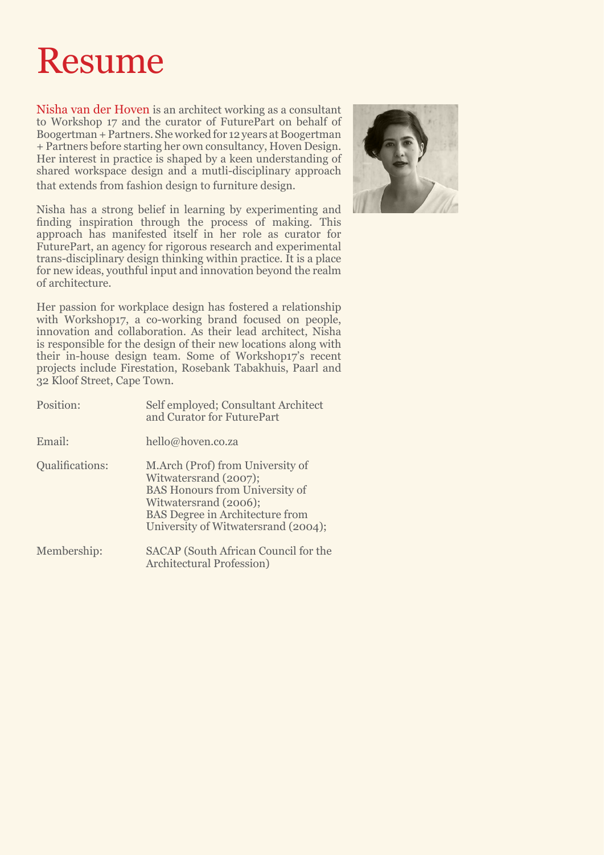## Resume

Nisha van der Hoven is an architect working as a consultant to Workshop 17 and the curator of FuturePart on behalf of Boogertman + Partners. She worked for 12 years at Boogertman + Partners before starting her own consultancy, Hoven Design. Her interest in practice is shaped by a keen understanding of shared workspace design and a mutli-disciplinary approach that extends from fashion design to furniture design.

Nisha has a strong belief in learning by experimenting and finding inspiration through the process of making. This approach has manifested itself in her role as curator for FuturePart, an agency for rigorous research and experimental trans-disciplinary design thinking within practice. It is a place for new ideas, youthful input and innovation beyond the realm of architecture.

Her passion for workplace design has fostered a relationship with Workshop17, a co-working brand focused on people, innovation and collaboration. As their lead architect, Nisha is responsible for the design of their new locations along with their in-house design team. Some of Workshop17's recent projects include Firestation, Rosebank Tabakhuis, Paarl and 32 Kloof Street, Cape Town.

| Position:              | Self employed; Consultant Architect<br>and Curator for FuturePart                                                                                                                                            |
|------------------------|--------------------------------------------------------------------------------------------------------------------------------------------------------------------------------------------------------------|
| Email:                 | hello@hoven.co.za                                                                                                                                                                                            |
| <b>Qualifications:</b> | M.Arch (Prof) from University of<br>Witwatersrand (2007);<br><b>BAS Honours from University of</b><br>Witwatersrand (2006);<br><b>BAS</b> Degree in Architecture from<br>University of Witwatersrand (2004); |
| Membership:            | <b>SACAP</b> (South African Council for the<br>Architectural Profession)                                                                                                                                     |

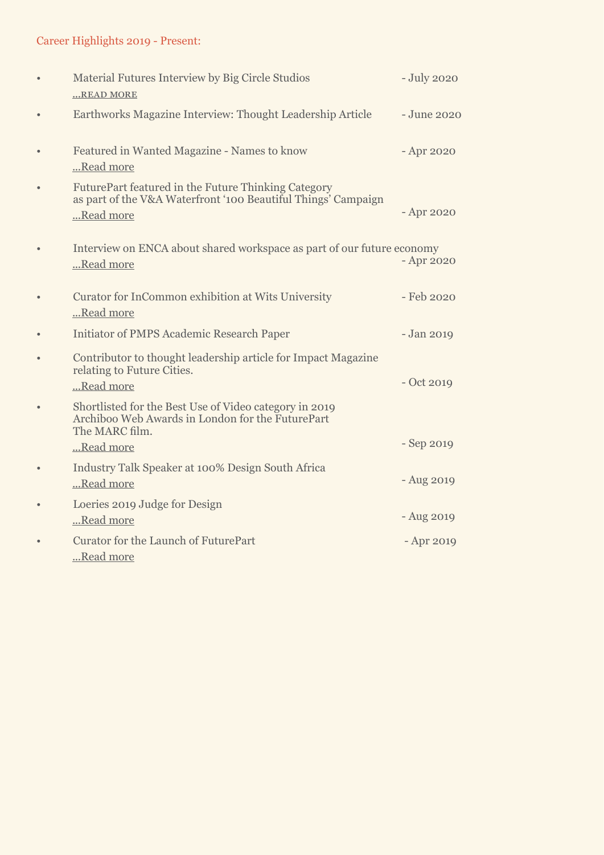## Career Highlights 2019 - Present:

| $\bullet$ | Material Futures Interview by Big Circle Studios<br>READ MORE                                                                     | - July 2020  |
|-----------|-----------------------------------------------------------------------------------------------------------------------------------|--------------|
| $\bullet$ | Earthworks Magazine Interview: Thought Leadership Article                                                                         | - June 2020  |
| $\bullet$ | Featured in Wanted Magazine - Names to know<br>Read more                                                                          | - Apr 2020   |
| $\bullet$ | FuturePart featured in the Future Thinking Category<br>as part of the V&A Waterfront '100 Beautiful Things' Campaign<br>Read more | - Apr 2020   |
| $\bullet$ | Interview on ENCA about shared workspace as part of our future economy<br>Read more                                               | - Apr 2020   |
| $\bullet$ | Curator for InCommon exhibition at Wits University<br>Read more                                                                   | - Feb 2020   |
|           | <b>Initiator of PMPS Academic Research Paper</b>                                                                                  | - Jan 2019   |
| $\bullet$ | Contributor to thought leadership article for Impact Magazine<br>relating to Future Cities.<br>Read more                          | $-$ Oct 2019 |
| $\bullet$ | Shortlisted for the Best Use of Video category in 2019<br>Archiboo Web Awards in London for the FuturePart<br>The MARC film.      |              |
|           | Read more                                                                                                                         | - Sep 2019   |
| $\bullet$ | Industry Talk Speaker at 100% Design South Africa<br>Read more                                                                    | - Aug 2019   |
| $\bullet$ | Loeries 2019 Judge for Design<br>Read more                                                                                        | - Aug 2019   |
| $\bullet$ | <b>Curator for the Launch of FuturePart</b><br>Read more                                                                          | - Apr 2019   |